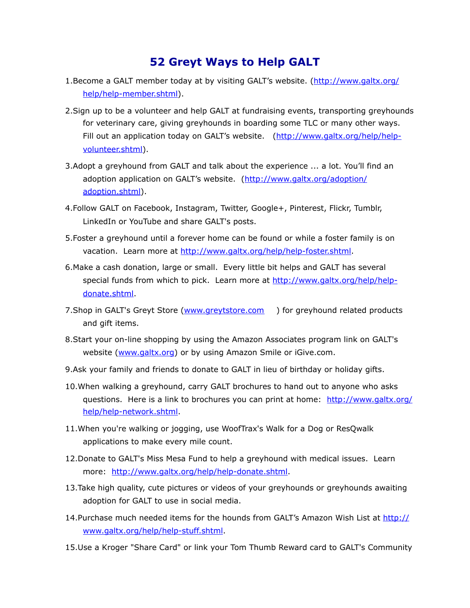## **52 Greyt Ways to Help GALT**

- 1.Become a GALT member today at by visiting GALT's website. ([http://www.galtx.org/](http://www.galtx.org/help/help-member.shtml) [help/help-member.shtml\)](http://www.galtx.org/help/help-member.shtml).
- 2.Sign up to be a volunteer and help GALT at fundraising events, transporting greyhounds for veterinary care, giving greyhounds in boarding some TLC or many other ways. Fill out an application today on GALT's website. ([http://www.galtx.org/help/help](http://www.galtx.org/help/help-volunteer.shtml)[volunteer.shtml\)](http://www.galtx.org/help/help-volunteer.shtml).
- 3.Adopt a greyhound from GALT and talk about the experience ... a lot. You'll find an adoption application on GALT's website. ([http://www.galtx.org/adoption/](http://www.galtx.org/adoption/adoption.shtml) [adoption.shtml](http://www.galtx.org/adoption/adoption.shtml)).
- 4.Follow GALT on Facebook, Instagram, Twitter, Google+, Pinterest, Flickr, Tumblr, LinkedIn or YouTube and share GALT's posts.
- 5.Foster a greyhound until a forever home can be found or while a foster family is on vacation. Learn more at [http://www.galtx.org/help/help-foster.shtml.](http://www.galtx.org/help/help-foster.shtml)
- 6.Make a cash donation, large or small. Every little bit helps and GALT has several special funds from which to pick. Learn more at [http://www.galtx.org/help/help](http://www.galtx.org/help/help-donate.shtml)[donate.shtml](http://www.galtx.org/help/help-donate.shtml).
- 7. Shop in GALT's Greyt Store ([www.greytstore.com](http://www.greytstore.com)) for greyhound related products and gift items.
- 8.Start your on-line shopping by using the Amazon Associates program link on GALT's website [\(www.galtx.org](http://www.galtx.org)) or by using Amazon Smile or iGive.com.
- 9.Ask your family and friends to donate to GALT in lieu of birthday or holiday gifts.
- 10.When walking a greyhound, carry GALT brochures to hand out to anyone who asks questions. Here is a link to brochures you can print at home: [http://www.galtx.org/](http://www.galtx.org/help/help-network.shtml) [help/help-network.shtml.](http://www.galtx.org/help/help-network.shtml)
- 11.When you're walking or jogging, use WoofTrax's Walk for a Dog or ResQwalk applications to make every mile count.
- 12.Donate to GALT's Miss Mesa Fund to help a greyhound with medical issues. Learn more: [http://www.galtx.org/help/help-donate.shtml.](http://www.galtx.org/help/help-donate.shtml)
- 13.Take high quality, cute pictures or videos of your greyhounds or greyhounds awaiting adoption for GALT to use in social media.
- 14.Purchase much needed items for the hounds from GALT's Amazon Wish List at [http://](http://www.galtx.org/help/help-stuff.shtml) [www.galtx.org/help/help-stuff.shtml.](http://www.galtx.org/help/help-stuff.shtml)
- 15.Use a Kroger "Share Card" or link your Tom Thumb Reward card to GALT's Community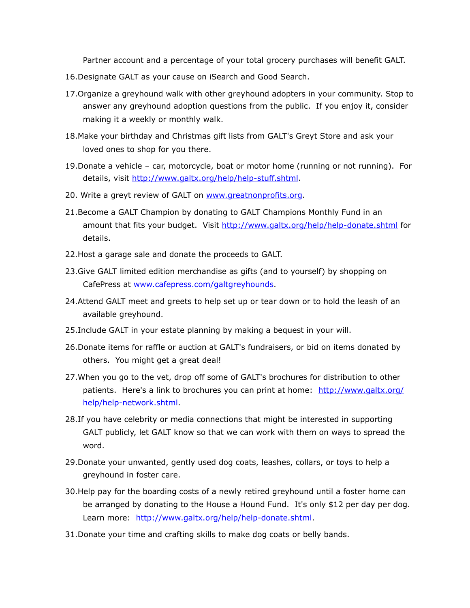Partner account and a percentage of your total grocery purchases will benefit GALT.

- 16.Designate GALT as your cause on [iSearch](http://www.igive.com/) and [Good Search](http://www.goodsearch.com/).
- 17.Organize a greyhound walk with other greyhound adopters in your community. Stop to answer any greyhound adoption questions from the public. If you enjoy it, consider making it a weekly or monthly walk.
- 18.Make your birthday and Christmas gift lists from GALT's Greyt Store and ask your loved ones to shop for you there.
- 19.Donate a vehicle car, motorcycle, boat or motor home (running or not running). For details, visit [http://www.galtx.org/help/help-stuff.shtml.](http://www.galtx.org/help/help-stuff.shtml)
- 20. Write a greyt review of GALT on [www.greatnonprofits.org.](http://www.greatnonprofits.org)
- 21.Become a GALT Champion by donating to GALT Champions Monthly Fund in an amount that fits your budget. Visit<http://www.galtx.org/help/help-donate.shtml> for details.
- 22.Host a garage sale and donate the proceeds to GALT.
- 23.Give GALT limited edition merchandise as gifts (and to yourself) by shopping on CafePress at [www.cafepress.com/galtgreyhounds](http://www.cafepress.com/galtgreyhounds).
- 24.Attend GALT meet and greets to help set up or tear down or to hold the leash of an available greyhound.
- 25.Include GALT in your estate planning by making a bequest in your will.
- 26.Donate items for raffle or auction at GALT's fundraisers, or bid on items donated by others. You might get a great deal!
- 27.When you go to the vet, drop off some of GALT's brochures for distribution to other patients. Here's a link to brochures you can print at home: [http://www.galtx.org/](http://www.galtx.org/help/help-network.shtml) [help/help-network.shtml.](http://www.galtx.org/help/help-network.shtml)
- 28.If you have celebrity or media connections that might be interested in supporting GALT publicly, let GALT know so that we can work with them on ways to spread the word.
- 29.Donate your unwanted, gently used dog coats, leashes, collars, or toys to help a greyhound in foster care.
- 30.Help pay for the boarding costs of a newly retired greyhound until a foster home can be arranged by donating to the House a Hound Fund. It's only \$12 per day per dog. Learn more: <http://www.galtx.org/help/help-donate.shtml>.
- 31.Donate your time and crafting skills to make dog coats or belly bands.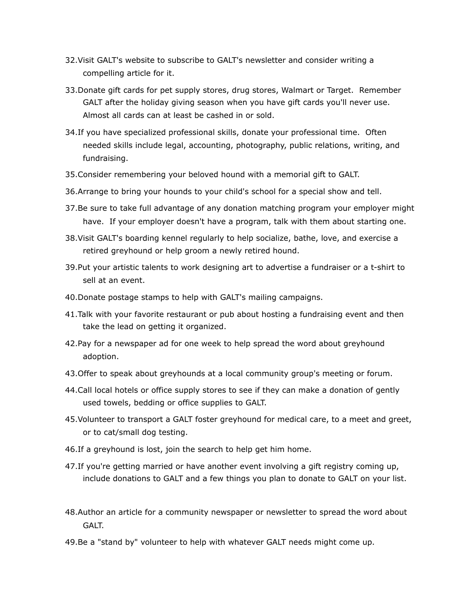- 32.Visit GALT's website to subscribe to GALT's newsletter and consider writing a compelling article for it.
- 33.Donate gift cards for pet supply stores, drug stores, Walmart or Target. Remember GALT after the holiday giving season when you have gift cards you'll never use. Almost all cards can at least be cashed in or sold.
- 34.If you have specialized professional skills, donate your professional time. Often needed skills include legal, accounting, photography, public relations, writing, and fundraising.
- 35.Consider remembering your beloved hound with a memorial gift to GALT.
- 36.Arrange to bring your hounds to your child's school for a special show and tell.
- 37.Be sure to take full advantage of any donation matching program your employer might have. If your employer doesn't have a program, talk with them about starting one.
- 38.Visit GALT's boarding kennel regularly to help socialize, bathe, love, and exercise a retired greyhound or help groom a newly retired hound.
- 39.Put your artistic talents to work designing art to advertise a fundraiser or a t-shirt to sell at an event.
- 40.Donate postage stamps to help with GALT's mailing campaigns.
- 41.Talk with your favorite restaurant or pub about hosting a fundraising event and then take the lead on getting it organized.
- 42.Pay for a newspaper ad for one week to help spread the word about greyhound adoption.
- 43.Offer to speak about greyhounds at a local community group's meeting or forum.
- 44.Call local hotels or office supply stores to see if they can make a donation of gently used towels, bedding or office supplies to GALT.
- 45.Volunteer to transport a GALT foster greyhound for medical care, to a meet and greet, or to cat/small dog testing.
- 46.If a greyhound is lost, join the search to help get him home.
- 47.If you're getting married or have another event involving a gift registry coming up, include donations to GALT and a few things you plan to donate to GALT on your list.
- 48.Author an article for a community newspaper or newsletter to spread the word about GALT.
- 49.Be a "stand by" volunteer to help with whatever GALT needs might come up.